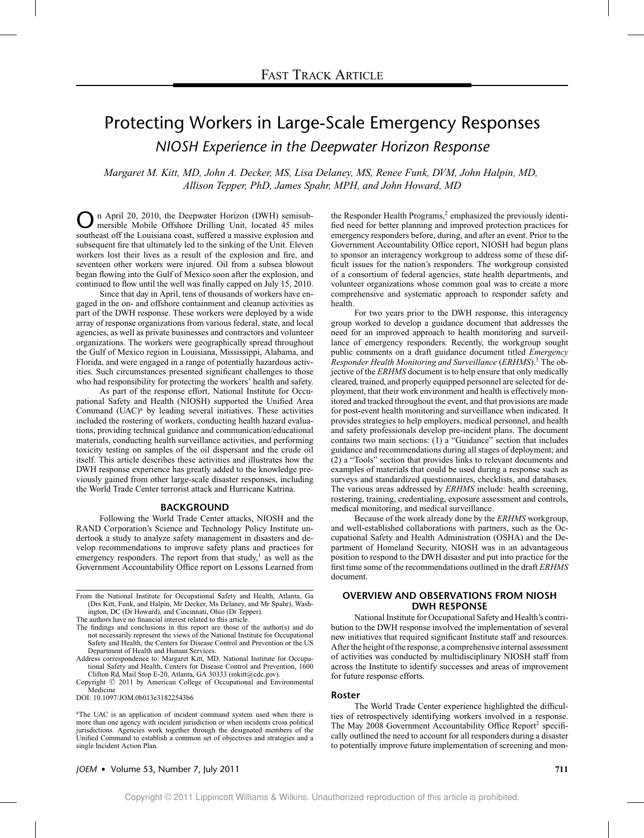# Protecting Workers in Large-Scale Emergency Responses *NIOSH Experience in the Deepwater Horizon Response*

*Margaret M. Kitt, MD, John A. Decker, MS, Lisa Delaney, MS, Renee Funk, DVM, John Halpin, MD, Allison Tepper, PhD, James Spahr, MPH, and John Howard, MD*

n April 20, 2010, the Deepwater Horizon (DWH) semisubmersible Mobile Offshore Drilling Unit, located 45 miles southeast off the Louisiana coast, suffered a massive explosion and subsequent fire that ultimately led to the sinking of the Unit. Eleven workers lost their lives as a result of the explosion and fire, and seventeen other workers were injured. Oil from a subsea blowout began flowing into the Gulf of Mexico soon after the explosion, and continued to flow until the well was finally capped on July 15, 2010.

Since that day in April, tens of thousands of workers have engaged in the on- and offshore containment and cleanup activities as part of the DWH response. These workers were deployed by a wide array of response organizations from various federal, state, and local agencies, as well as private businesses and contractors and volunteer organizations. The workers were geographically spread throughout the Gulf of Mexico region in Louisiana, Mississippi, Alabama, and Florida, and were engaged in a range of potentially hazardous activities. Such circumstances presented significant challenges to those who had responsibility for protecting the workers' health and safety.

As part of the response effort, National Institute for Occupational Safety and Health (NIOSH) supported the Unified Area Command  $(UAC)^a$  by leading several initiatives. These activities included the rostering of workers, conducting health hazard evaluations, providing technical guidance and communication/educational materials, conducting health surveillance activities, and performing toxicity testing on samples of the oil dispersant and the crude oil itself. This article describes these activities and illustrates how the DWH response experience has greatly added to the knowledge previously gained from other large-scale disaster responses, including the World Trade Center terrorist attack and Hurricane Katrina.

#### **BACKGROUND**

Following the World Trade Center attacks, NIOSH and the RAND Corporation's Science and Technology Policy Institute undertook a study to analyze safety management in disasters and develop recommendations to improve safety plans and practices for emergency responders. The report from that study, $\frac{1}{1}$  as well as the Government Accountability Office report on Lessons Learned from

From the National Institute for Occupational Safety and Health, Atlanta, Ga (Drs Kitt, Funk, and Halpin, Mr Decker, Ms Delaney, and Mr Spahr), Washington, DC (Dr Howard), and Cincinnati, Ohio (Dr Tepper).

- The authors have no financial interest related to this article.
- The findings and conclusions in this report are those of the author(s) and do not necessarily represent the views of the National Institute for Occupational Safety and Health, the Centers for Disease Control and Prevention or the US Department of Health and Human Services.
- Address correspondence to: Margaret Kitt, MD*,* National Institute for Occupational Safety and Health, Centers for Disease Control and Prevention, 1600 Clifton Rd, Mail Stop E-20, Atlanta, GA 30333 (mkitt@cdc.gov).

Copyright © 2011 by American College of Occupational and Environmental Medicine

DOI: 10.1097/JOM.0b013e31822543b6

<sup>a</sup>The UAC is an application of incident command system used when there is more than one agency with incident jurisdiction or when incidents cross political jurisdictions. Agencies work together through the designated members of the Unified Command to establish a common set of objectives and strategies and a single Incident Action Plan.

the Responder Health Programs, $<sup>2</sup>$  emphasized the previously identi-</sup> fied need for better planning and improved protection practices for emergency responders before, during, and after an event. Prior to the Government Accountability Office report, NIOSH had begun plans to sponsor an interagency workgroup to address some of these difficult issues for the nation's responders. The workgroup consisted of a consortium of federal agencies, state health departments, and volunteer organizations whose common goal was to create a more comprehensive and systematic approach to responder safety and health.

For two years prior to the DWH response, this interagency group worked to develop a guidance document that addresses the need for an improved approach to health monitoring and surveillance of emergency responders. Recently, the workgroup sought public comments on a draft guidance document titled *Emergency Responder Health Monitoring and Surveillance* (*ERHMS*).3 The objective of the *ERHMS* document is to help ensure that only medically cleared, trained, and properly equipped personnel are selected for deployment, that their work environment and health is effectively monitored and tracked throughout the event, and that provisions are made for post-event health monitoring and surveillance when indicated. It provides strategies to help employers, medical personnel, and health and safety professionals develop pre-incident plans. The document contains two main sections: (1) a "Guidance" section that includes guidance and recommendations during all stages of deployment; and (2) a "Tools" section that provides links to relevant documents and examples of materials that could be used during a response such as surveys and standardized questionnaires, checklists, and databases. The various areas addressed by *ERHMS* include: health screening, rostering, training, credentialing, exposure assessment and controls, medical monitoring, and medical surveillance.

Because of the work already done by the *ERHMS* workgroup, and well-established collaborations with partners, such as the Occupational Safety and Health Administration (OSHA) and the Department of Homeland Security, NIOSH was in an advantageous position to respond to the DWH disaster and put into practice for the first time some of the recommendations outlined in the draft *ERHMS* document.

# **OVERVIEW AND OBSERVATIONS FROM NIOSH DWH RESPONSE**

National Institute for Occupational Safety and Health's contribution to the DWH response involved the implementation of several new initiatives that required significant Institute staff and resources. After the height of the response, a comprehensive internal assessment of activities was conducted by multidisciplinary NIOSH staff from across the Institute to identify successes and areas of improvement for future response efforts.

#### **Roster**

The World Trade Center experience highlighted the difficulties of retrospectively identifying workers involved in a response. The May 2008 Government Accountability Office Report<sup>2</sup> specifically outlined the need to account for all responders during a disaster to potentially improve future implementation of screening and mon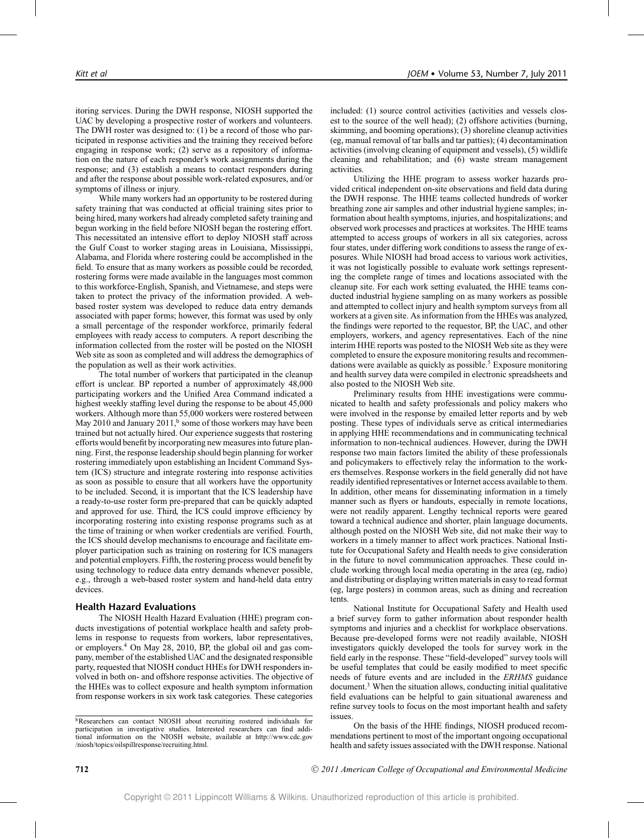itoring services. During the DWH response, NIOSH supported the UAC by developing a prospective roster of workers and volunteers. The DWH roster was designed to: (1) be a record of those who participated in response activities and the training they received before engaging in response work; (2) serve as a repository of information on the nature of each responder's work assignments during the response; and (3) establish a means to contact responders during and after the response about possible work-related exposures, and/or symptoms of illness or injury.

While many workers had an opportunity to be rostered during safety training that was conducted at official training sites prior to being hired, many workers had already completed safety training and begun working in the field before NIOSH began the rostering effort. This necessitated an intensive effort to deploy NIOSH staff across the Gulf Coast to worker staging areas in Louisiana, Mississippi, Alabama, and Florida where rostering could be accomplished in the field. To ensure that as many workers as possible could be recorded, rostering forms were made available in the languages most common to this workforce-English, Spanish, and Vietnamese, and steps were taken to protect the privacy of the information provided. A webbased roster system was developed to reduce data entry demands associated with paper forms; however, this format was used by only a small percentage of the responder workforce, primarily federal employees with ready access to computers. A report describing the information collected from the roster will be posted on the NIOSH Web site as soon as completed and will address the demographics of the population as well as their work activities.

The total number of workers that participated in the cleanup effort is unclear. BP reported a number of approximately 48,000 participating workers and the Unified Area Command indicated a highest weekly staffing level during the response to be about 45,000 workers. Although more than 55,000 workers were rostered between May 2010 and January 2011,<sup>b</sup> some of those workers may have been trained but not actually hired. Our experience suggests that rostering efforts would benefit by incorporating new measures into future planning. First, the response leadership should begin planning for worker rostering immediately upon establishing an Incident Command System (ICS) structure and integrate rostering into response activities as soon as possible to ensure that all workers have the opportunity to be included. Second, it is important that the ICS leadership have a ready-to-use roster form pre-prepared that can be quickly adapted and approved for use. Third, the ICS could improve efficiency by incorporating rostering into existing response programs such as at the time of training or when worker credentials are verified. Fourth, the ICS should develop mechanisms to encourage and facilitate employer participation such as training on rostering for ICS managers and potential employers. Fifth, the rostering process would benefit by using technology to reduce data entry demands whenever possible, e.g., through a web-based roster system and hand-held data entry devices.

# **Health Hazard Evaluations**

The NIOSH Health Hazard Evaluation (HHE) program conducts investigations of potential workplace health and safety problems in response to requests from workers, labor representatives, or employers.4 On May 28, 2010, BP, the global oil and gas company, member of the established UAC and the designated responsible party, requested that NIOSH conduct HHEs for DWH responders involved in both on- and offshore response activities. The objective of the HHEs was to collect exposure and health symptom information from response workers in six work task categories. These categories

included: (1) source control activities (activities and vessels closest to the source of the well head); (2) offshore activities (burning, skimming, and booming operations); (3) shoreline cleanup activities (eg, manual removal of tar balls and tar patties); (4) decontamination activities (involving cleaning of equipment and vessels), (5) wildlife cleaning and rehabilitation; and (6) waste stream management activities.

Utilizing the HHE program to assess worker hazards provided critical independent on-site observations and field data during the DWH response. The HHE teams collected hundreds of worker breathing zone air samples and other industrial hygiene samples; information about health symptoms, injuries, and hospitalizations; and observed work processes and practices at worksites. The HHE teams attempted to access groups of workers in all six categories, across four states, under differing work conditions to assess the range of exposures. While NIOSH had broad access to various work activities, it was not logistically possible to evaluate work settings representing the complete range of times and locations associated with the cleanup site. For each work setting evaluated, the HHE teams conducted industrial hygiene sampling on as many workers as possible and attempted to collect injury and health symptom surveys from all workers at a given site. As information from the HHEs was analyzed, the findings were reported to the requestor, BP, the UAC, and other employers, workers, and agency representatives. Each of the nine interim HHE reports was posted to the NIOSH Web site as they were completed to ensure the exposure monitoring results and recommendations were available as quickly as possible. $5$  Exposure monitoring and health survey data were compiled in electronic spreadsheets and also posted to the NIOSH Web site.

Preliminary results from HHE investigations were communicated to health and safety professionals and policy makers who were involved in the response by emailed letter reports and by web posting. These types of individuals serve as critical intermediaries in applying HHE recommendations and in communicating technical information to non-technical audiences. However, during the DWH response two main factors limited the ability of these professionals and policymakers to effectively relay the information to the workers themselves. Response workers in the field generally did not have readily identified representatives or Internet access available to them. In addition, other means for disseminating information in a timely manner such as flyers or handouts, especially in remote locations, were not readily apparent. Lengthy technical reports were geared toward a technical audience and shorter, plain language documents, although posted on the NIOSH Web site, did not make their way to workers in a timely manner to affect work practices. National Institute for Occupational Safety and Health needs to give consideration in the future to novel communication approaches. These could include working through local media operating in the area (eg, radio) and distributing or displaying written materials in easy to read format (eg, large posters) in common areas, such as dining and recreation tents.

National Institute for Occupational Safety and Health used a brief survey form to gather information about responder health symptoms and injuries and a checklist for workplace observations. Because pre-developed forms were not readily available, NIOSH investigators quickly developed the tools for survey work in the field early in the response. These "field-developed" survey tools will be useful templates that could be easily modified to meet specific needs of future events and are included in the *ERHMS* guidance document.3 When the situation allows, conducting initial qualitative field evaluations can be helpful to gain situational awareness and refine survey tools to focus on the most important health and safety issues.

On the basis of the HHE findings, NIOSH produced recommendations pertinent to most of the important ongoing occupational health and safety issues associated with the DWH response. National

bResearchers can contact NIOSH about recruiting rostered individuals for participation in investigative studies. Interested researchers can find additional information on the NIOSH website, available at http://www.cdc.gov /niosh/topics/oilspillresponse/recruiting.html.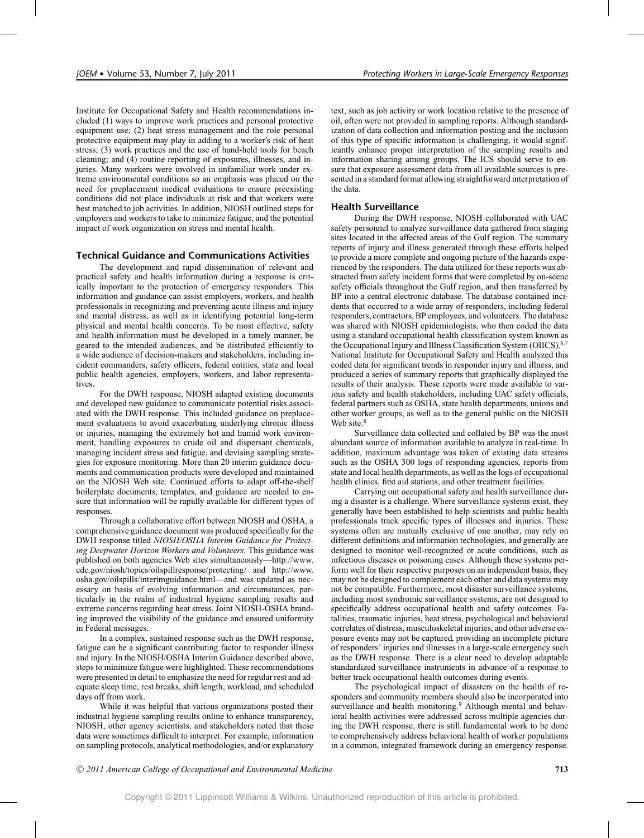Institute for Occupational Safety and Health recommendations included (1) ways to improve work practices and personal protective equipment use; (2) heat stress management and the role personal protective equipment may play in adding to a worker's risk of heat stress; (3) work practices and the use of hand-held tools for beach cleaning; and (4) routine reporting of exposures, illnesses, and injuries. Many workers were involved in unfamiliar work under extreme environmental conditions so an emphasis was placed on the need for preplacement medical evaluations to ensure preexisting conditions did not place individuals at risk and that workers were best matched to job activities. In addition, NIOSH outlined steps for employers and workers to take to minimize fatigue, and the potential impact of work organization on stress and mental health.

# **Technical Guidance and Communications Activities**

The development and rapid dissemination of relevant and practical safety and health information during a response is critically important to the protection of emergency responders. This information and guidance can assist employers, workers, and health professionals in recognizing and preventing acute illness and injury and mental distress, as well as in identifying potential long-term physical and mental health concerns. To be most effective, safety and health information must be developed in a timely manner, be geared to the intended audiences, and be distributed efficiently to a wide audience of decision-makers and stakeholders, including incident commanders, safety officers, federal entities, state and local public health agencies, employers, workers, and labor representatives.

For the DWH response, NIOSH adapted existing documents and developed new guidance to communicate potential risks associated with the DWH response. This included guidance on preplacement evaluations to avoid exacerbating underlying chronic illness or injuries, managing the extremely hot and humid work environment, handling exposures to crude oil and dispersant chemicals, managing incident stress and fatigue, and devising sampling strategies for exposure monitoring. More than 20 interim guidance documents and communication products were developed and maintained on the NIOSH Web site. Continued efforts to adapt off-the-shelf boilerplate documents, templates, and guidance are needed to ensure that information will be rapidly available for different types of responses.

Through a collaborative effort between NIOSH and OSHA, a comprehensive guidance document was produced specifically for the DWH response titled *NIOSH/OSHA Interim Guidance for Protecting Deepwater Horizon Workers and Volunteers.* This guidance was published on both agencies Web sites simultaneously—http://www. cdc.gov/niosh/topics/oilspillresponse/protecting/ and http://www. osha.gov/oilspills/interimguidance.html—and was updated as necessary on basis of evolving information and circumstances, particularly in the realm of industrial hygiene sampling results and extreme concerns regarding heat stress. Joint NIOSH-OSHA branding improved the visibility of the guidance and ensured uniformity in Federal messages.

In a complex, sustained response such as the DWH response, fatigue can be a significant contributing factor to responder illness and injury. In the NIOSH/OSHA Interim Guidance described above, steps to minimize fatigue were highlighted. These recommendations were presented in detail to emphasize the need for regular rest and adequate sleep time, rest breaks, shift length, workload, and scheduled days off from work.

While it was helpful that various organizations posted their industrial hygiene sampling results online to enhance transparency, NIOSH, other agency scientists, and stakeholders noted that these data were sometimes difficult to interpret. For example, information on sampling protocols, analytical methodologies, and/or explanatory

text, such as job activity or work location relative to the presence of oil, often were not provided in sampling reports. Although standardization of data collection and information posting and the inclusion of this type of specific information is challenging, it would significantly enhance proper interpretation of the sampling results and information sharing among groups. The ICS should serve to ensure that exposure assessment data from all available sources is presented in a standard format allowing straightforward interpretation of the data.

## **Health Surveillance**

During the DWH response, NIOSH collaborated with UAC safety personnel to analyze surveillance data gathered from staging sites located in the affected areas of the Gulf region. The summary reports of injury and illness generated through these efforts helped to provide a more complete and ongoing picture of the hazards experienced by the responders. The data utilized for these reports was abstracted from safety incident forms that were completed by on-scene safety officials throughout the Gulf region, and then transferred by BP into a central electronic database. The database contained incidents that occurred to a wide array of responders, including federal responders, contractors, BP employees, and volunteers. The database was shared with NIOSH epidemiologists, who then coded the data using a standard occupational health classification system known as the Occupational Injury and Illness Classification System (OIICS).<sup>6,7</sup> National Institute for Occupational Safety and Health analyzed this coded data for significant trends in responder injury and illness, and produced a series of summary reports that graphically displayed the results of their analysis. These reports were made available to various safety and health stakeholders, including UAC safety officials, federal partners such as OSHA, state health departments, unions and other worker groups, as well as to the general public on the NIOSH Web site.<sup>8</sup>

Surveillance data collected and collated by BP was the most abundant source of information available to analyze in real-time. In addition, maximum advantage was taken of existing data streams such as the OSHA 300 logs of responding agencies, reports from state and local health departments, as well as the logs of occupational health clinics, first aid stations, and other treatment facilities.

Carrying out occupational safety and health surveillance during a disaster is a challenge. Where surveillance systems exist, they generally have been established to help scientists and public health professionals track specific types of illnesses and injuries. These systems often are mutually exclusive of one another, may rely on different definitions and information technologies, and generally are designed to monitor well-recognized or acute conditions, such as infectious diseases or poisoning cases. Although these systems perform well for their respective purposes on an independent basis, they may not be designed to complement each other and data systems may not be compatible. Furthermore, most disaster surveillance systems, including most syndromic surveillance systems, are not designed to specifically address occupational health and safety outcomes. Fatalities, traumatic injuries, heat stress, psychological and behavioral correlates of distress, musculoskeletal injuries, and other adverse exposure events may not be captured, providing an incomplete picture of responders' injuries and illnesses in a large-scale emergency such as the DWH response. There is a clear need to develop adaptable standardized surveillance instruments in advance of a response to better track occupational health outcomes during events.

The psychological impact of disasters on the health of responders and community members should also be incorporated into surveillance and health monitoring.<sup>9</sup> Although mental and behavioral health activities were addressed across multiple agencies during the DWH response, there is still fundamental work to be done to comprehensively address behavioral health of worker populations in a common, integrated framework during an emergency response.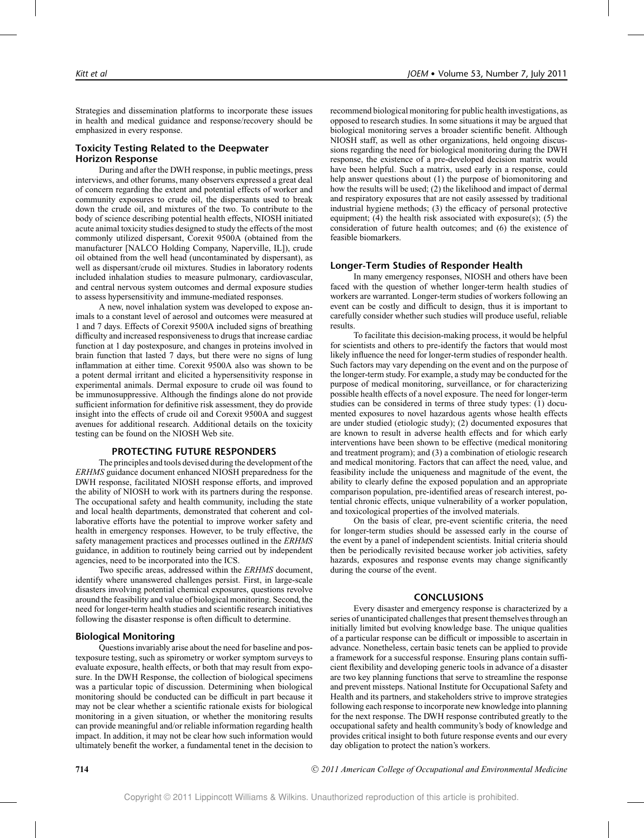Strategies and dissemination platforms to incorporate these issues in health and medical guidance and response/recovery should be emphasized in every response.

# **Toxicity Testing Related to the Deepwater Horizon Response**

During and after the DWH response, in public meetings, press interviews, and other forums, many observers expressed a great deal of concern regarding the extent and potential effects of worker and community exposures to crude oil, the dispersants used to break down the crude oil, and mixtures of the two. To contribute to the body of science describing potential health effects, NIOSH initiated acute animal toxicity studies designed to study the effects of the most commonly utilized dispersant, Corexit 9500A (obtained from the manufacturer [NALCO Holding Company, Naperville, IL]), crude oil obtained from the well head (uncontaminated by dispersant), as well as dispersant/crude oil mixtures. Studies in laboratory rodents included inhalation studies to measure pulmonary, cardiovascular, and central nervous system outcomes and dermal exposure studies to assess hypersensitivity and immune-mediated responses.

A new, novel inhalation system was developed to expose animals to a constant level of aerosol and outcomes were measured at 1 and 7 days. Effects of Corexit 9500A included signs of breathing difficulty and increased responsiveness to drugs that increase cardiac function at 1 day postexposure, and changes in proteins involved in brain function that lasted 7 days, but there were no signs of lung inflammation at either time. Corexit 9500A also was shown to be a potent dermal irritant and elicited a hypersensitivity response in experimental animals. Dermal exposure to crude oil was found to be immunosuppressive. Although the findings alone do not provide sufficient information for definitive risk assessment, they do provide insight into the effects of crude oil and Corexit 9500A and suggest avenues for additional research. Additional details on the toxicity testing can be found on the NIOSH Web site.

## **PROTECTING FUTURE RESPONDERS**

The principles and tools devised during the development of the *ERHMS* guidance document enhanced NIOSH preparedness for the DWH response, facilitated NIOSH response efforts, and improved the ability of NIOSH to work with its partners during the response. The occupational safety and health community, including the state and local health departments, demonstrated that coherent and collaborative efforts have the potential to improve worker safety and health in emergency responses. However, to be truly effective, the safety management practices and processes outlined in the *ERHMS* guidance, in addition to routinely being carried out by independent agencies, need to be incorporated into the ICS.

Two specific areas, addressed within the *ERHMS* document, identify where unanswered challenges persist. First, in large-scale disasters involving potential chemical exposures, questions revolve around the feasibility and value of biological monitoring. Second, the need for longer-term health studies and scientific research initiatives following the disaster response is often difficult to determine.

# **Biological Monitoring**

Questions invariably arise about the need for baseline and postexposure testing, such as spirometry or worker symptom surveys to evaluate exposure, health effects, or both that may result from exposure. In the DWH Response, the collection of biological specimens was a particular topic of discussion. Determining when biological monitoring should be conducted can be difficult in part because it may not be clear whether a scientific rationale exists for biological monitoring in a given situation, or whether the monitoring results can provide meaningful and/or reliable information regarding health impact. In addition, it may not be clear how such information would ultimately benefit the worker, a fundamental tenet in the decision to recommend biological monitoring for public health investigations, as opposed to research studies. In some situations it may be argued that biological monitoring serves a broader scientific benefit. Although NIOSH staff, as well as other organizations, held ongoing discussions regarding the need for biological monitoring during the DWH response, the existence of a pre-developed decision matrix would have been helpful. Such a matrix, used early in a response, could help answer questions about (1) the purpose of biomonitoring and how the results will be used; (2) the likelihood and impact of dermal and respiratory exposures that are not easily assessed by traditional industrial hygiene methods; (3) the efficacy of personal protective equipment; (4) the health risk associated with exposure(s); (5) the consideration of future health outcomes; and (6) the existence of feasible biomarkers.

# **Longer-Term Studies of Responder Health**

In many emergency responses, NIOSH and others have been faced with the question of whether longer-term health studies of workers are warranted. Longer-term studies of workers following an event can be costly and difficult to design, thus it is important to carefully consider whether such studies will produce useful, reliable results.

To facilitate this decision-making process, it would be helpful for scientists and others to pre-identify the factors that would most likely influence the need for longer-term studies of responder health. Such factors may vary depending on the event and on the purpose of the longer-term study. For example, a study may be conducted for the purpose of medical monitoring, surveillance, or for characterizing possible health effects of a novel exposure. The need for longer-term studies can be considered in terms of three study types: (1) documented exposures to novel hazardous agents whose health effects are under studied (etiologic study); (2) documented exposures that are known to result in adverse health effects and for which early interventions have been shown to be effective (medical monitoring and treatment program); and (3) a combination of etiologic research and medical monitoring. Factors that can affect the need, value, and feasibility include the uniqueness and magnitude of the event, the ability to clearly define the exposed population and an appropriate comparison population, pre-identified areas of research interest, potential chronic effects, unique vulnerability of a worker population, and toxicological properties of the involved materials.

On the basis of clear, pre-event scientific criteria, the need for longer-term studies should be assessed early in the course of the event by a panel of independent scientists. Initial criteria should then be periodically revisited because worker job activities, safety hazards, exposures and response events may change significantly during the course of the event.

## **CONCLUSIONS**

Every disaster and emergency response is characterized by a series of unanticipated challenges that present themselves through an initially limited but evolving knowledge base. The unique qualities of a particular response can be difficult or impossible to ascertain in advance. Nonetheless, certain basic tenets can be applied to provide a framework for a successful response. Ensuring plans contain sufficient flexibility and developing generic tools in advance of a disaster are two key planning functions that serve to streamline the response and prevent missteps. National Institute for Occupational Safety and Health and its partners, and stakeholders strive to improve strategies following each response to incorporate new knowledge into planning for the next response. The DWH response contributed greatly to the occupational safety and health community's body of knowledge and provides critical insight to both future response events and our every day obligation to protect the nation's workers.